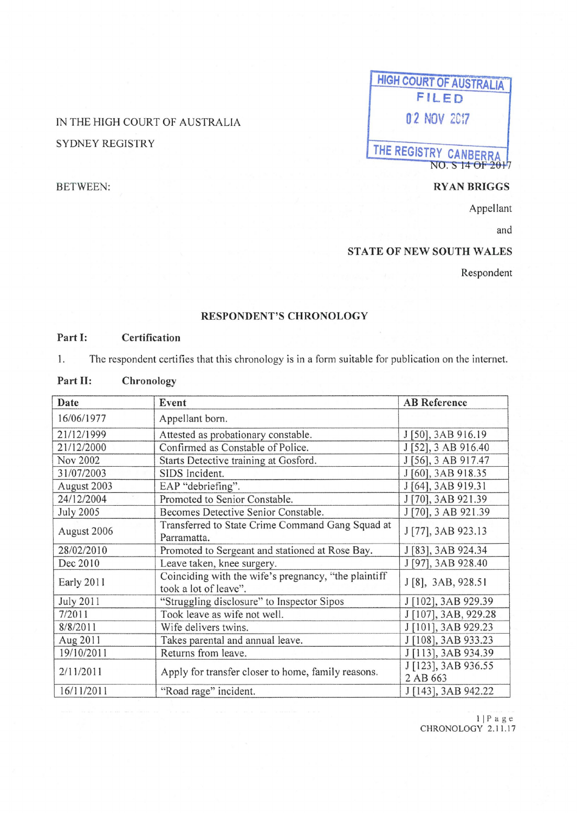### IN THE HIGH COURT OF AUSTRALIA SYDNEY REGISTRY

## **HIGH COURT OF AUSTRALIA FILED o·2 NOV 2C!7 THE REGISTRY CANBERRA**

#### BETWEEN: **RYANBRIGGS**

NO. S 14 OF 2017

Appellant

and

#### **STATE OF NEW SOUTH WALES**

Respondent

#### **RESPONDENT'S CHRONOLOGY**

#### **Part 1: Certification**

1. The respondent certifies that this chronology is in a form suitable for publication on the internet.

#### **Part 11: Chronology**

| Date             | Event                                                                         | <b>AB</b> Reference             |
|------------------|-------------------------------------------------------------------------------|---------------------------------|
| 16/06/1977       | Appellant born.                                                               |                                 |
| 21/12/1999       | Attested as probationary constable.                                           | J [50], 3AB 916.19              |
| 21/12/2000       | Confirmed as Constable of Police.                                             | J [52], 3 AB 916.40             |
| Nov 2002         | Starts Detective training at Gosford.                                         | J [56], 3 AB 917.47             |
| 31/07/2003       | SIDS Incident.                                                                | J [60], 3AB 918.35              |
| August 2003      | EAP "debriefing".                                                             | J [64], 3AB 919.31              |
| 24/12/2004       | Promoted to Senior Constable.                                                 | J [70], 3AB 921.39              |
| <b>July 2005</b> | Becomes Detective Senior Constable.                                           | J [70], 3 AB 921.39             |
| August 2006      | Transferred to State Crime Command Gang Squad at<br>Parramatta.               | J [77], 3AB 923.13              |
| 28/02/2010       | Promoted to Sergeant and stationed at Rose Bay.                               | J [83], 3AB 924.34              |
| Dec 2010         | Leave taken, knee surgery.                                                    | J [97], 3AB 928.40              |
| Early 2011       | Coinciding with the wife's pregnancy, "the plaintiff<br>took a lot of leave". | J [8], 3AB, 928.51              |
| <b>July 2011</b> | "Struggling disclosure" to Inspector Sipos                                    | J [102], 3AB 929.39             |
| 7/2011           | Took leave as wife not well.                                                  | J [107], 3AB, 929.28            |
| 8/8/2011         | Wife delivers twins.                                                          | J [101], 3AB 929.23             |
| Aug 2011         | Takes parental and annual leave.                                              | J [108], 3AB 933.23             |
| 19/10/2011       | Returns from leave.                                                           | J [113], 3AB 934.39             |
| 2/11/2011        | Apply for transfer closer to home, family reasons.                            | J [123], 3AB 936.55<br>2 AB 663 |
| 16/11/2011       | "Road rage" incident.                                                         | J [143], 3AB 942.22             |

<sup>I</sup>I Page CHRONOLOGY 2.1 1.17